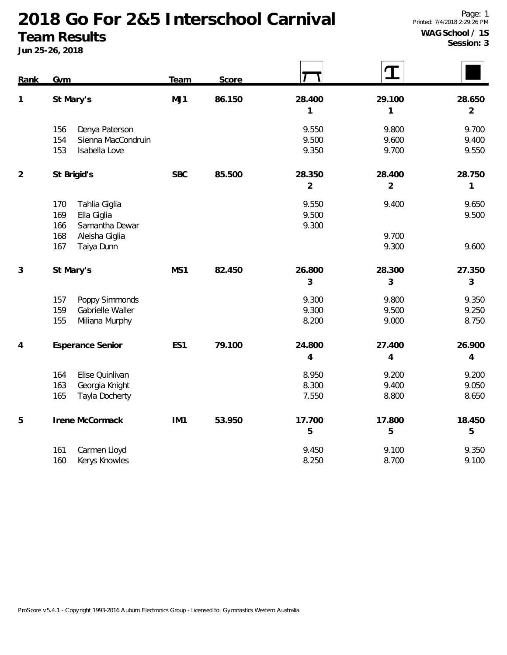**Team Results Jun 25-26, 2018**

| Rank           | <b>Gym</b>                                                                 | Team            | Score  |                          | Т                        |                          |
|----------------|----------------------------------------------------------------------------|-----------------|--------|--------------------------|--------------------------|--------------------------|
| 1              | St Mary's                                                                  | MJ1             | 86.150 | 28.400<br>1              | 29.100<br>1              | 28.650<br>$\overline{2}$ |
|                | Denya Paterson<br>156<br>154<br>Sienna MacCondruin<br>Isabella Love<br>153 |                 |        | 9.550<br>9.500<br>9.350  | 9.800<br>9.600<br>9.700  | 9.700<br>9.400<br>9.550  |
| $\overline{2}$ | St Brigid's                                                                | <b>SBC</b>      | 85.500 | 28.350<br>$\overline{2}$ | 28.400<br>$\overline{2}$ | 28.750<br>1              |
|                | Tahlia Giglia<br>170<br>169<br>Ella Giglia<br>Samantha Dewar<br>166        |                 |        | 9.550<br>9.500<br>9.300  | 9.400                    | 9.650<br>9.500           |
|                | 168<br>Aleisha Giglia<br>167<br>Taiya Dunn                                 |                 |        |                          | 9.700<br>9.300           | 9.600                    |
| 3              | St Mary's                                                                  | MS1             | 82.450 | 26.800<br>3              | 28.300<br>3              | 27.350<br>$\mathfrak{Z}$ |
|                | 157<br>Poppy Simmonds<br>159<br>Gabrielle Waller<br>155<br>Miliana Murphy  |                 |        | 9.300<br>9.300<br>8.200  | 9.800<br>9.500<br>9.000  | 9.350<br>9.250<br>8.750  |
| 4              | Esperance Senior                                                           | ES1             | 79.100 | 24.800<br>4              | 27.400<br>$\overline{4}$ | 26.900<br>4              |
|                | 164<br>Elise Quinlivan<br>163<br>Georgia Knight<br>165<br>Tayla Docherty   |                 |        | 8.950<br>8.300<br>7.550  | 9.200<br>9.400<br>8.800  | 9.200<br>9.050<br>8.650  |
| 5              | Irene McCormack                                                            | IM <sub>1</sub> | 53.950 | 17.700                   | 17.800                   | 18.450                   |

| 161 Carmen Lloyd  | 9.450 | 9.100 | 9.350 |
|-------------------|-------|-------|-------|
| 160 Kerys Knowles | 8.250 | 8.700 | 9.100 |

**5 5 5**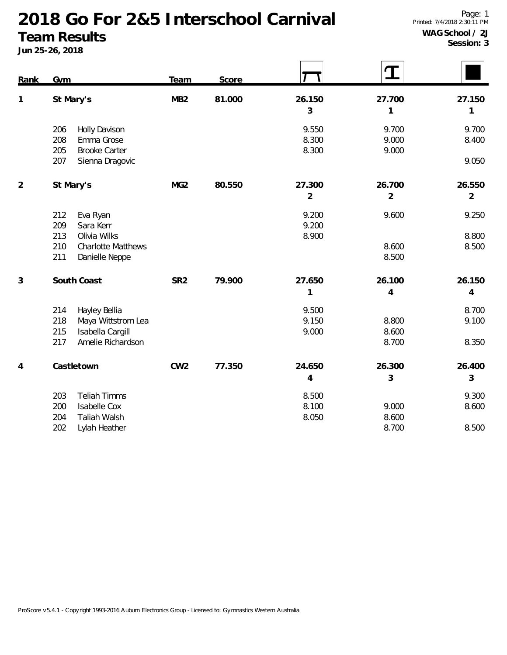**Team Results**

| Rank           | Gym                                                       | Team            | Score  |                | T              |                |
|----------------|-----------------------------------------------------------|-----------------|--------|----------------|----------------|----------------|
| $\mathbf{1}$   | St Mary's                                                 | MB <sub>2</sub> | 81.000 | 26.150         | 27.700         | 27.150         |
|                |                                                           |                 |        | $\mathfrak{Z}$ | 1              | 1              |
|                | 206<br>Holly Davison                                      |                 |        | 9.550          | 9.700          | 9.700          |
|                | Emma Grose<br>208                                         |                 |        | 8.300          | 9.000          | 8.400          |
|                | <b>Brooke Carter</b><br>205<br>207<br>Sienna Dragovic     |                 |        | 8.300          | 9.000          | 9.050          |
| $\overline{2}$ | St Mary's                                                 | MG <sub>2</sub> | 80.550 | 27.300         | 26.700         | 26.550         |
|                |                                                           |                 |        | $\overline{2}$ | $\overline{2}$ | $\overline{2}$ |
|                | Eva Ryan<br>212                                           |                 |        | 9.200          | 9.600          | 9.250          |
|                | Sara Kerr<br>209                                          |                 |        | 9.200          |                |                |
|                | 213<br>Olivia Wilks                                       |                 |        | 8.900          |                | 8.800          |
|                | 210<br><b>Charlotte Matthews</b><br>211<br>Danielle Neppe |                 |        |                | 8.600<br>8.500 | 8.500          |
| $\mathfrak{Z}$ | South Coast                                               | SR <sub>2</sub> | 79.900 | 27.650         | 26.100         | 26.150         |
|                |                                                           |                 |        | $\mathbf{1}$   | $\overline{4}$ | $\overline{4}$ |
|                | 214<br>Hayley Bellia                                      |                 |        | 9.500          |                | 8.700          |
|                | 218<br>Maya Wittstrom Lea                                 |                 |        | 9.150          | 8.800          | 9.100          |
|                | Isabella Cargill<br>215                                   |                 |        | 9.000          | 8.600          |                |
|                | Amelie Richardson<br>217                                  |                 |        |                | 8.700          | 8.350          |
| 4              | Castletown                                                | CW <sub>2</sub> | 77.350 | 24.650         | 26.300         | 26.400         |
|                |                                                           |                 |        | $\overline{4}$ | 3              | 3              |
|                | <b>Teliah Timms</b><br>203                                |                 |        | 8.500          |                | 9.300          |
|                | 200<br><b>Isabelle Cox</b>                                |                 |        | 8.100          | 9.000          | 8.600          |
|                | 204<br>Taliah Walsh                                       |                 |        | 8.050          | 8.600          |                |
|                | 202<br>Lylah Heather                                      |                 |        |                | 8.700          | 8.500          |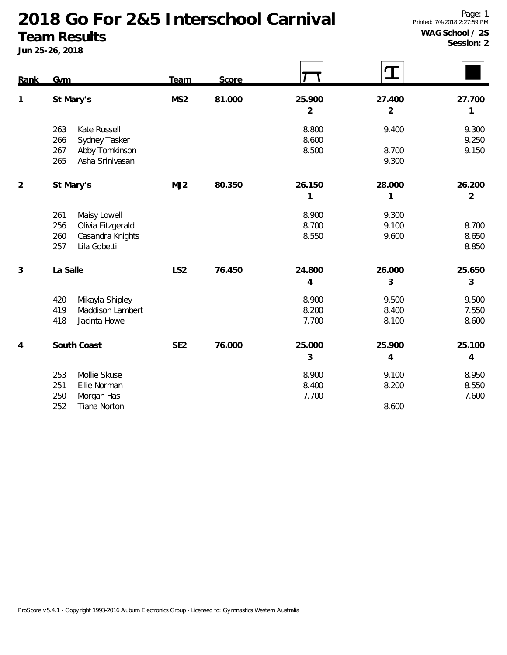**Team Results Jun 25-26, 2018**

**Session: 2**

| Rank           | Gym                                                                                               | Team            | Score  |                          |                          |                          |
|----------------|---------------------------------------------------------------------------------------------------|-----------------|--------|--------------------------|--------------------------|--------------------------|
| $\mathbf{1}$   | St Mary's                                                                                         | MS <sub>2</sub> | 81.000 | 25.900<br>$\overline{2}$ | 27.400<br>$\overline{2}$ | 27.700<br>1              |
|                | Kate Russell<br>263<br>Sydney Tasker<br>266<br>267<br>Abby Tomkinson<br>Asha Srinivasan<br>265    |                 |        | 8.800<br>8.600<br>8.500  | 9.400<br>8.700<br>9.300  | 9.300<br>9.250<br>9.150  |
| $\overline{2}$ | St Mary's                                                                                         | MJ2             | 80.350 | 26.150<br>1              | 28.000<br>1              | 26.200<br>$\overline{2}$ |
|                | Maisy Lowell<br>261<br>256<br>Olivia Fitzgerald<br>Casandra Knights<br>260<br>Lila Gobetti<br>257 |                 |        | 8.900<br>8.700<br>8.550  | 9.300<br>9.100<br>9.600  | 8.700<br>8.650<br>8.850  |
| 3              | La Salle                                                                                          | LS <sub>2</sub> | 76.450 | 24.800<br>4              | 26.000<br>3              | 25.650<br>3              |
|                | Mikayla Shipley<br>420<br>419<br>Maddison Lambert<br>Jacinta Howe<br>418                          |                 |        | 8.900<br>8.200<br>7.700  | 9.500<br>8.400<br>8.100  | 9.500<br>7.550<br>8.600  |
| 4              | South Coast                                                                                       | SE <sub>2</sub> | 76.000 | 25.000<br>3              | 25.900<br>4              | 25.100<br>4              |
|                | 253<br>Mollie Skuse<br>251<br>Ellie Norman<br>250<br>Morgan Has<br>252<br>Tiana Norton            |                 |        | 8.900<br>8.400<br>7.700  | 9.100<br>8.200<br>8.600  | 8.950<br>8.550<br>7.600  |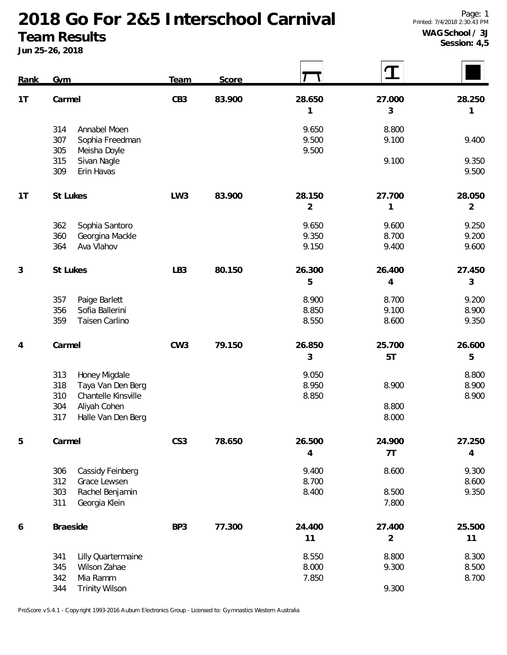**Team Results**

**Jun 25-26, 2018**

 $\blacksquare$ 

 $\blacksquare$ 

 $\mathsf{r}$ 

| Rank | Gym                                                                                                                                | Team            | Score  |                          | T                        |                          |
|------|------------------------------------------------------------------------------------------------------------------------------------|-----------------|--------|--------------------------|--------------------------|--------------------------|
| 1T   | Carmel                                                                                                                             | CB <sub>3</sub> | 83.900 | 28.650<br>1              | 27.000<br>3              | 28.250<br>1              |
|      | 314<br>Annabel Moen<br>307<br>Sophia Freedman<br>305<br>Meisha Doyle                                                               |                 |        | 9.650<br>9.500<br>9.500  | 8.800<br>9.100           | 9.400                    |
|      | 315<br>Sivan Nagle<br>309<br>Erin Havas                                                                                            |                 |        |                          | 9.100                    | 9.350<br>9.500           |
| 1T   | St Lukes                                                                                                                           | LW <sub>3</sub> | 83.900 | 28.150<br>$\overline{2}$ | 27.700<br>1              | 28.050<br>$\overline{2}$ |
|      | Sophia Santoro<br>362<br>360<br>Georgina Mackle<br>Ava Vlahov<br>364                                                               |                 |        | 9.650<br>9.350<br>9.150  | 9.600<br>8.700<br>9.400  | 9.250<br>9.200<br>9.600  |
| 3    | St Lukes                                                                                                                           | LB <sub>3</sub> | 80.150 | 26.300<br>5              | 26.400<br>$\overline{4}$ | 27.450<br>$\mathfrak{Z}$ |
|      | 357<br>Paige Barlett<br>356<br>Sofia Ballerini<br>359<br>Taisen Carlino                                                            |                 |        | 8.900<br>8.850<br>8.550  | 8.700<br>9.100<br>8.600  | 9.200<br>8.900<br>9.350  |
| 4    | Carmel                                                                                                                             | CW <sub>3</sub> | 79.150 | 26.850<br>3              | 25.700<br>5T             | 26.600<br>5              |
|      | 313<br>Honey Migdale<br>Taya Van Den Berg<br>318<br>310<br>Chantelle Kinsville<br>304<br>Aliyah Cohen<br>317<br>Halle Van Den Berg |                 |        | 9.050<br>8.950<br>8.850  | 8.900<br>8.800<br>8.000  | 8.800<br>8.900<br>8.900  |
| 5    | Carmel                                                                                                                             | CS <sub>3</sub> | 78.650 | 26.500<br>$\overline{4}$ | 24.900<br>7T             | 27.250<br>$\overline{4}$ |
|      | 306<br>Cassidy Feinberg<br>312<br>Grace Lewsen<br>303<br>Rachel Benjamin<br>311<br>Georgia Klein                                   |                 |        | 9.400<br>8.700<br>8.400  | 8.600<br>8.500<br>7.800  | 9.300<br>8.600<br>9.350  |
| 6    | Braeside                                                                                                                           | BP3             | 77.300 | 24.400<br>11             | 27.400<br>$\overline{2}$ | 25.500<br>11             |
|      | Lilly Quartermaine<br>341<br>345<br>Wilson Zahae<br>342<br>Mia Ramm<br>344<br><b>Trinity Wilson</b>                                |                 |        | 8.550<br>8.000<br>7.850  | 8.800<br>9.300<br>9.300  | 8.300<br>8.500<br>8.700  |

ProScore v5.4.1 - Copyright 1993-2016 Auburn Electronics Group - Licensed to: Gymnastics Western Australia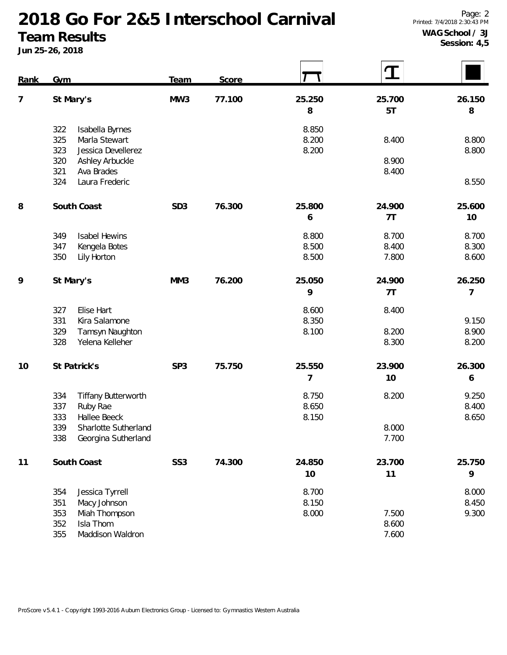**Team Results Jun 25-26, 2018**

| Rank | Gym                                                                                                                                                 | Team            | Score  |                         |                         |                         |
|------|-----------------------------------------------------------------------------------------------------------------------------------------------------|-----------------|--------|-------------------------|-------------------------|-------------------------|
| 7    | St Mary's                                                                                                                                           | MW3             | 77.100 | 25.250<br>8             | 25.700<br>5T            | 26.150<br>8             |
|      | 322<br>Isabella Byrnes<br>325<br>Marla Stewart<br>323<br>Jessica Devellerez<br>320<br>Ashley Arbuckle<br>321<br>Ava Brades<br>324<br>Laura Frederic |                 |        | 8.850<br>8.200<br>8.200 | 8.400<br>8.900<br>8.400 | 8.800<br>8.800<br>8.550 |
| 8    | South Coast                                                                                                                                         | SD <sub>3</sub> | 76.300 | 25.800<br>6             | 24.900<br>7T            | 25.600<br>10            |
|      | 349<br><b>Isabel Hewins</b><br>347<br>Kengela Botes<br>350<br>Lily Horton                                                                           |                 |        | 8.800<br>8.500<br>8.500 | 8.700<br>8.400<br>7.800 | 8.700<br>8.300<br>8.600 |
| 9    | St Mary's                                                                                                                                           | MM3             | 76.200 | 25.050<br>9             | 24.900<br>7T            | 26.250<br>7             |
|      | Elise Hart<br>327<br>331<br>Kira Salamone<br>329<br>Tamsyn Naughton<br>328<br>Yelena Kelleher                                                       |                 |        | 8.600<br>8.350<br>8.100 | 8.400<br>8.200<br>8.300 | 9.150<br>8.900<br>8.200 |
| 10   | St Patrick's                                                                                                                                        | SP <sub>3</sub> | 75.750 | 25.550<br>7             | 23.900<br>10            | 26.300<br>6             |
|      | 334<br><b>Tiffany Butterworth</b><br>337<br>Ruby Rae<br>333<br>Hallee Beeck<br>339<br>Sharlotte Sutherland<br>338<br>Georgina Sutherland            |                 |        | 8.750<br>8.650<br>8.150 | 8.200<br>8.000<br>7.700 | 9.250<br>8.400<br>8.650 |
| 11   | South Coast                                                                                                                                         | SS <sub>3</sub> | 74.300 | 24.850<br>10            | 23.700<br>11            | 25.750<br>9             |
|      | 354<br>Jessica Tyrrell<br>351<br>Macy Johnson<br>353<br>Miah Thompson<br>352<br>Isla Thom<br>355<br>Maddison Waldron                                |                 |        | 8.700<br>8.150<br>8.000 | 7.500<br>8.600<br>7.600 | 8.000<br>8.450<br>9.300 |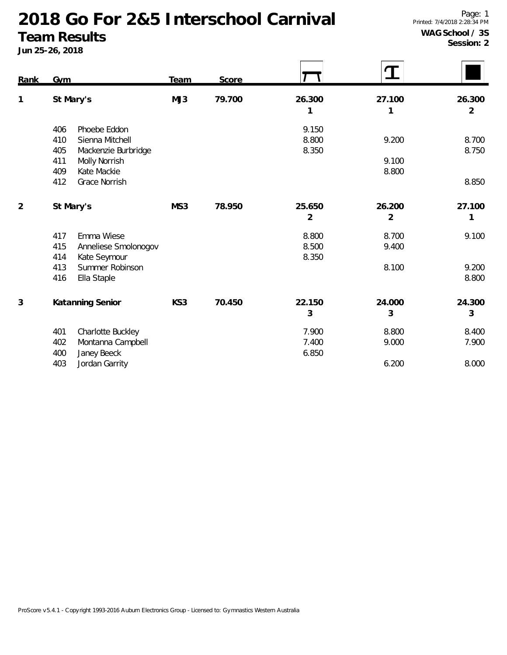**Team Results**

**Jun 25-26, 2018**

**Session: 2**

| Rank           | Gym                                                                                                                                               | Team | Score  |                          |                          |                          |
|----------------|---------------------------------------------------------------------------------------------------------------------------------------------------|------|--------|--------------------------|--------------------------|--------------------------|
| 1              | St Mary's                                                                                                                                         | MJ3  | 79.700 | 26.300<br>1              | 27.100<br>1              | 26.300<br>$\overline{2}$ |
|                | Phoebe Eddon<br>406<br>Sienna Mitchell<br>410<br>405<br>Mackenzie Burbridge<br>Molly Norrish<br>411<br>409<br>Kate Mackie<br>412<br>Grace Norrish |      |        | 9.150<br>8.800<br>8.350  | 9.200<br>9.100<br>8.800  | 8.700<br>8.750<br>8.850  |
| $\overline{2}$ | St Mary's                                                                                                                                         | MS3  | 78.950 | 25.650<br>$\overline{2}$ | 26.200<br>$\overline{2}$ | 27.100<br>1              |
|                | Emma Wiese<br>417<br>415<br>Anneliese Smolonogov<br>414<br>Kate Seymour<br>Summer Robinson<br>413                                                 |      |        | 8.800<br>8.500<br>8.350  | 8.700<br>9.400<br>8.100  | 9.100<br>9.200           |
|                | 416<br>Ella Staple                                                                                                                                |      |        |                          |                          | 8.800                    |
| 3              | Katanning Senior                                                                                                                                  | KS3  | 70.450 | 22.150<br>3              | 24.000<br>3              | 24.300<br>3              |
|                | Charlotte Buckley<br>401<br>402<br>Montanna Campbell<br>Janey Beeck<br>400                                                                        |      |        | 7.900<br>7.400<br>6.850  | 8.800<br>9.000           | 8.400<br>7.900           |
|                | 403<br>Jordan Garrity                                                                                                                             |      |        |                          | 6.200                    | 8.000                    |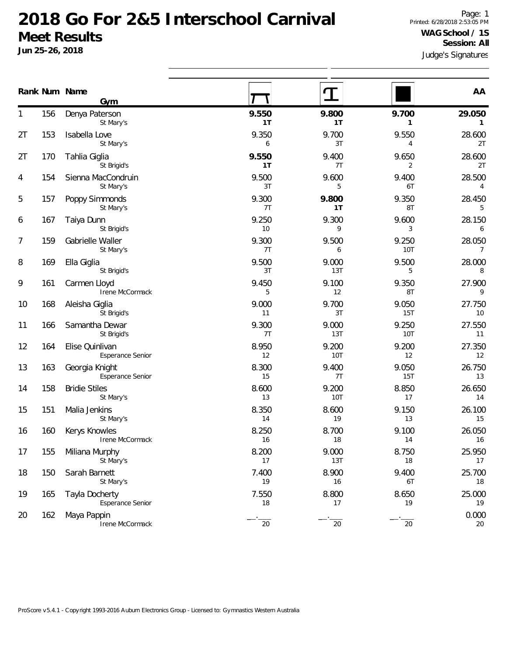|    |     | Rank Num Name<br>Gym                      |             |              |                         | AA                        |
|----|-----|-------------------------------------------|-------------|--------------|-------------------------|---------------------------|
| 1  | 156 | Denya Paterson<br>St Mary's               | 9.550<br>1T | 9.800<br>1T  | 9.700<br>1              | 29.050<br>$\mathbf{1}$    |
| 2T | 153 | Isabella Love<br>St Mary's                | 9.350<br>6  | 9.700<br>3T  | 9.550<br>4              | 28.600<br>2T              |
| 2T | 170 | Tahlia Giglia<br>St Brigid's              | 9.550<br>1T | 9.400<br>7T  | 9.650<br>$\overline{2}$ | 28.600<br>2T              |
| 4  | 154 | Sienna MacCondruin<br>St Mary's           | 9.500<br>3T | 9.600<br>5   | 9.400<br>6T             | 28.500<br>4               |
| 5  | 157 | Poppy Simmonds<br>St Mary's               | 9.300<br>7T | 9.800<br>1T  | 9.350<br>8T             | 28.450<br>5               |
| 6  | 167 | Taiya Dunn<br>St Brigid's                 | 9.250<br>10 | 9.300<br>9   | 9.600<br>3              | 28.150<br>6               |
| 7  | 159 | Gabrielle Waller<br>St Mary's             | 9.300<br>7T | 9.500<br>6   | 9.250<br><b>10T</b>     | 28.050<br>$7\overline{ }$ |
| 8  | 169 | Ella Giglia<br>St Brigid's                | 9.500<br>3T | 9.000<br>13T | 9.500<br>5              | 28.000<br>8               |
| 9  | 161 | Carmen Lloyd<br>Irene McCormack           | 9.450<br>5  | 9.100<br>12  | 9.350<br>8T             | 27.900<br>9               |
| 10 | 168 | Aleisha Giglia<br>St Brigid's             | 9.000<br>11 | 9.700<br>3T  | 9.050<br>15T            | 27.750<br>10              |
| 11 | 166 | Samantha Dewar<br>St Brigid's             | 9.300<br>7T | 9.000<br>13T | 9.250<br><b>10T</b>     | 27.550<br>11              |
| 12 | 164 | Elise Quinlivan<br>Esperance Senior       | 8.950<br>12 | 9.200<br>10T | 9.200<br>12             | 27.350<br>12              |
| 13 | 163 | Georgia Knight<br>Esperance Senior        | 8.300<br>15 | 9.400<br>7T  | 9.050<br>15T            | 26.750<br>13              |
| 14 | 158 | <b>Bridie Stiles</b><br>St Mary's         | 8.600<br>13 | 9.200<br>10T | 8.850<br>17             | 26.650<br>14              |
| 15 | 151 | Malia Jenkins<br>St Mary's                | 8.350<br>14 | 8.600<br>19  | 9.150<br>13             | 26.100<br>15              |
| 16 | 160 | Kerys Knowles<br>Irene McCormack          | 8.250<br>16 | 8.700<br>18  | 9.100<br>14             | 26.050<br>16              |
| 17 | 155 | Miliana Murphy<br>St Mary's               | 8.200<br>17 | 9.000<br>13T | 8.750<br>18             | 25.950<br>17              |
| 18 | 150 | Sarah Barnett<br>St Mary's                | 7.400<br>19 | 8.900<br>16  | 9.400<br>6T             | 25.700<br>18              |
| 19 | 165 | Tayla Docherty<br><b>Esperance Senior</b> | 7.550<br>18 | 8.800<br>17  | 8.650<br>19             | 25.000<br>19              |
| 20 | 162 | Maya Pappin<br>Irene McCormack            | $20\,$      | $20\,$       | 20                      | 0.000<br>20               |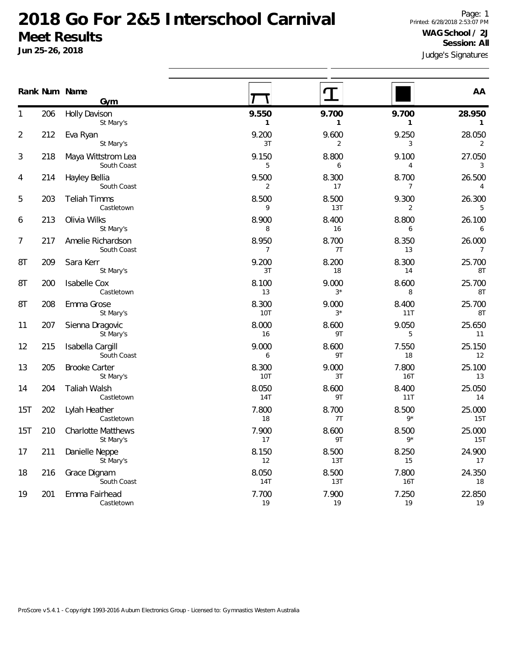|                  |     | Rank Num Name<br>Gym                   |                         |               |                         | AA                       |
|------------------|-----|----------------------------------------|-------------------------|---------------|-------------------------|--------------------------|
| 1                | 206 | <b>Holly Davison</b><br>St Mary's      | 9.550<br>$\mathbf{1}$   | 9.700<br>1    | 9.700<br>$\mathbf{1}$   | 28.950<br>$\mathbf{1}$   |
| $\overline{2}$   | 212 | Eva Ryan<br>St Mary's                  | 9.200<br>3T             | 9.600<br>2    | 9.250<br>3              | 28.050<br>2              |
| 3                | 218 | Maya Wittstrom Lea<br>South Coast      | 9.150<br>5              | 8.800<br>6    | 9.100<br>4              | 27.050<br>3              |
| 4                | 214 | Hayley Bellia<br>South Coast           | 9.500<br>$\overline{2}$ | 8.300<br>17   | 8.700<br>7              | 26.500<br>4              |
| 5                | 203 | <b>Teliah Timms</b><br>Castletown      | 8.500<br>9              | 8.500<br>13T  | 9.300<br>$\overline{2}$ | 26.300<br>5              |
| 6                | 213 | Olivia Wilks<br>St Mary's              | 8.900<br>8              | 8.400<br>16   | 8.800<br>6              | 26.100<br>6              |
| $\boldsymbol{7}$ | 217 | Amelie Richardson<br>South Coast       | 8.950<br>$\overline{7}$ | 8.700<br>7T   | 8.350<br>13             | 26.000<br>$\overline{7}$ |
| 8T               | 209 | Sara Kerr<br>St Mary's                 | 9.200<br>3T             | 8.200<br>18   | 8.300<br>14             | 25.700<br>8T             |
| 8T               | 200 | <b>Isabelle Cox</b><br>Castletown      | 8.100<br>13             | 9.000<br>$3*$ | 8.600<br>8              | 25.700<br>8T             |
| 8T               | 208 | Emma Grose<br>St Mary's                | 8.300<br>10T            | 9.000<br>$3*$ | 8.400<br>11T            | 25.700<br>8T             |
| 11               | 207 | Sienna Dragovic<br>St Mary's           | 8.000<br>16             | 8.600<br>9T   | 9.050<br>5              | 25.650<br>11             |
| 12               | 215 | Isabella Cargill<br>South Coast        | 9.000<br>6              | 8.600<br>9T   | 7.550<br>18             | 25.150<br>12             |
| 13               | 205 | <b>Brooke Carter</b><br>St Mary's      | 8.300<br>10T            | 9.000<br>3T   | 7.800<br>16T            | 25.100<br>13             |
| 14               | 204 | <b>Taliah Walsh</b><br>Castletown      | 8.050<br><b>14T</b>     | 8.600<br>9T   | 8.400<br>11T            | 25.050<br>14             |
| 15T              | 202 | Lylah Heather<br>Castletown            | 7.800<br>18             | 8.700<br>7T   | 8.500<br>$9*$           | 25.000<br>15T            |
| 15T              | 210 | <b>Charlotte Matthews</b><br>St Mary's | 7.900<br>17             | 8.600<br>9T   | 8.500<br>$9*$           | 25.000<br>15T            |
| 17               | 211 | Danielle Neppe<br>St Mary's            | 8.150<br>12             | 8.500<br>13T  | 8.250<br>15             | 24.900<br>17             |
| 18               | 216 | Grace Dignam<br>South Coast            | 8.050<br>14T            | 8.500<br>13T  | 7.800<br>16T            | 24.350<br>18             |
| 19               | 201 | Emma Fairhead<br>Castletown            | 7.700<br>19             | 7.900<br>19   | 7.250<br>19             | 22.850<br>19             |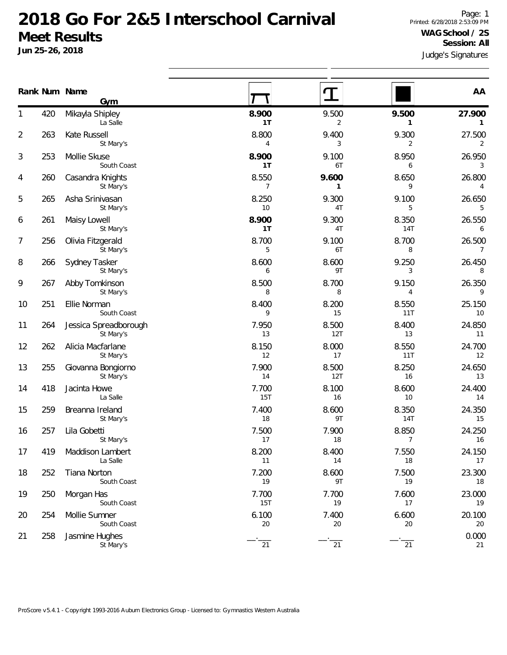|    |     | Rank Num Name<br>Gym               |                         |              |                         | AA                       |
|----|-----|------------------------------------|-------------------------|--------------|-------------------------|--------------------------|
| 1  | 420 | Mikayla Shipley<br>La Salle        | 8.900<br>1T             | 9.500<br>2   | 9.500<br>1              | 27.900<br>$\mathbf{1}$   |
| 2  | 263 | Kate Russell<br>St Mary's          | 8.800<br>4              | 9.400<br>3   | 9.300<br>$\overline{2}$ | 27.500<br>$\overline{2}$ |
| 3  | 253 | Mollie Skuse<br>South Coast        | 8.900<br>1T             | 9.100<br>6T  | 8.950<br>6              | 26.950<br>3              |
| 4  | 260 | Casandra Knights<br>St Mary's      | 8.550<br>$\overline{7}$ | 9.600<br>1   | 8.650<br>9              | 26.800<br>$\overline{4}$ |
| 5  | 265 | Asha Srinivasan<br>St Mary's       | 8.250<br>10             | 9.300<br>4T  | 9.100<br>5              | 26.650<br>5              |
| 6  | 261 | Maisy Lowell<br>St Mary's          | 8.900<br>1T             | 9.300<br>4T  | 8.350<br><b>14T</b>     | 26.550<br>6              |
| 7  | 256 | Olivia Fitzgerald<br>St Mary's     | 8.700<br>5              | 9.100<br>6T  | 8.700<br>8              | 26.500<br>$\overline{7}$ |
| 8  | 266 | Sydney Tasker<br>St Mary's         | 8.600<br>6              | 8.600<br>9T  | 9.250<br>3              | 26.450<br>8              |
| 9  | 267 | Abby Tomkinson<br>St Mary's        | 8.500<br>8              | 8.700<br>8   | 9.150<br>4              | 26.350<br>9              |
| 10 | 251 | Ellie Norman<br>South Coast        | 8.400<br>9              | 8.200<br>15  | 8.550<br>11T            | 25.150<br>10             |
| 11 | 264 | Jessica Spreadborough<br>St Mary's | 7.950<br>13             | 8.500<br>12T | 8.400<br>13             | 24.850<br>11             |
| 12 | 262 | Alicia Macfarlane<br>St Mary's     | 8.150<br>12             | 8.000<br>17  | 8.550<br>11T            | 24.700<br>12             |
| 13 | 255 | Giovanna Bongiorno<br>St Mary's    | 7.900<br>14             | 8.500<br>12T | 8.250<br>16             | 24.650<br>13             |
| 14 | 418 | Jacinta Howe<br>La Salle           | 7.700<br>15T            | 8.100<br>16  | 8.600<br>10             | 24.400<br>14             |
| 15 | 259 | Breanna Ireland<br>St Mary's       | 7.400<br>18             | 8.600<br>9T  | 8.350<br>14T            | 24.350<br>15             |
| 16 | 257 | Lila Gobetti<br>St Mary's          | 7.500<br>17             | 7.900<br>18  | 8.850<br>7              | 24.250<br>16             |
| 17 | 419 | Maddison Lambert<br>La Salle       | 8.200<br>11             | 8.400<br>14  | 7.550<br>18             | 24.150<br>17             |
| 18 | 252 | Tiana Norton<br>South Coast        | 7.200<br>19             | 8.600<br>9T  | 7.500<br>19             | 23.300<br>18             |
| 19 | 250 | Morgan Has<br>South Coast          | 7.700<br>15T            | 7.700<br>19  | 7.600<br>17             | 23.000<br>19             |
| 20 | 254 | Mollie Sumner<br>South Coast       | 6.100<br>20             | 7.400<br>20  | 6.600<br>$20\,$         | 20.100<br>20             |
| 21 | 258 | Jasmine Hughes<br>St Mary's        | 21                      | 21           | 21                      | 0.000<br>21              |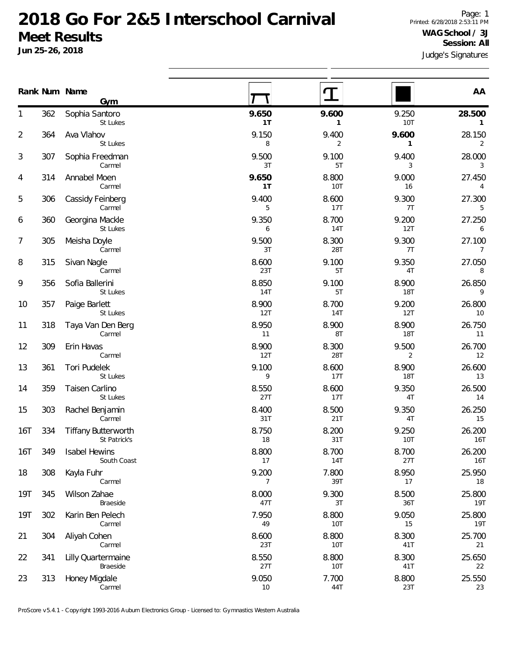**Jun 25-26, 2018**

|                |     | Rank Num Name<br>Gym                       |                     |              |                       | AA                       |
|----------------|-----|--------------------------------------------|---------------------|--------------|-----------------------|--------------------------|
| 1              | 362 | Sophia Santoro<br>St Lukes                 | 9.650<br>1T         | 9.600<br>1   | 9.250<br><b>10T</b>   | 28.500<br>1              |
| $\overline{2}$ | 364 | Ava Vlahov<br>St Lukes                     | 9.150<br>8          | 9.400<br>2   | 9.600<br>$\mathbf{1}$ | 28.150<br>$\overline{2}$ |
| 3              | 307 | Sophia Freedman<br>Carmel                  | 9.500<br>3T         | 9.100<br>5T  | 9.400<br>3            | 28.000<br>3              |
| 4              | 314 | Annabel Moen<br>Carmel                     | 9.650<br>1T         | 8.800<br>10T | 9.000<br>16           | 27.450<br>4              |
| 5              | 306 | Cassidy Feinberg<br>Carmel                 | 9.400<br>5          | 8.600<br>17T | 9.300<br>7T           | 27.300<br>5              |
| 6              | 360 | Georgina Mackle<br>St Lukes                | 9.350<br>6          | 8.700<br>14T | 9.200<br>12T          | 27.250<br>6              |
| 7              | 305 | Meisha Doyle<br>Carmel                     | 9.500<br>3T         | 8.300<br>28T | 9.300<br>7T           | 27.100<br>$\overline{7}$ |
| 8              | 315 | Sivan Nagle<br>Carmel                      | 8.600<br>23T        | 9.100<br>5T  | 9.350<br>4T           | 27.050<br>8              |
| 9              | 356 | Sofia Ballerini<br>St Lukes                | 8.850<br><b>14T</b> | 9.100<br>5T  | 8.900<br>18T          | 26.850<br>9              |
| 10             | 357 | Paige Barlett<br>St Lukes                  | 8.900<br>12T        | 8.700<br>14T | 9.200<br>12T          | 26.800<br>10             |
| 11             | 318 | Taya Van Den Berg<br>Carmel                | 8.950<br>11         | 8.900<br>8T  | 8.900<br>18T          | 26.750<br>11             |
| 12             | 309 | Erin Havas<br>Carmel                       | 8.900<br>12T        | 8.300<br>28T | 9.500<br>2            | 26.700<br>12             |
| 13             | 361 | Tori Pudelek<br>St Lukes                   | 9.100<br>9          | 8.600<br>17T | 8.900<br>18T          | 26.600<br>13             |
| 14             | 359 | Taisen Carlino<br>St Lukes                 | 8.550<br>27T        | 8.600<br>17T | 9.350<br>4T           | 26.500<br>14             |
| 15             | 303 | Rachel Benjamin<br>Carmel                  | 8.400<br>31T        | 8.500<br>21T | 9.350<br>4T           | 26.250<br>15             |
| 16T            | 334 | <b>Tiffany Butterworth</b><br>St Patrick's | 8.750<br>18         | 8.200<br>31T | 9.250<br>10T          | 26.200<br>16T            |
| 16T            | 349 | <b>Isabel Hewins</b><br>South Coast        | 8.800<br>17         | 8.700<br>14T | 8.700<br>27T          | 26.200<br>16T            |
| 18             | 308 | Kayla Fuhr<br>Carmel                       | 9.200<br>7          | 7.800<br>39T | 8.950<br>17           | 25.950<br>18             |
| 19T            | 345 | Wilson Zahae<br>Braeside                   | 8.000<br>47T        | 9.300<br>3T  | 8.500<br>36T          | 25.800<br>19T            |
| 19T            | 302 | Karin Ben Pelech<br>Carmel                 | 7.950<br>49         | 8.800<br>10T | 9.050<br>15           | 25.800<br>19T            |
| 21             | 304 | Aliyah Cohen<br>Carmel                     | 8.600<br>23T        | 8.800<br>10T | 8.300<br>41T          | 25.700<br>21             |
| 22             | 341 | <b>Lilly Quartermaine</b><br>Braeside      | 8.550<br>27T        | 8.800<br>10T | 8.300<br>41T          | 25.650<br>22             |
| 23             | 313 | Honey Migdale<br>Carmel                    | 9.050<br>10         | 7.700<br>44T | 8.800<br>23T          | 25.550<br>23             |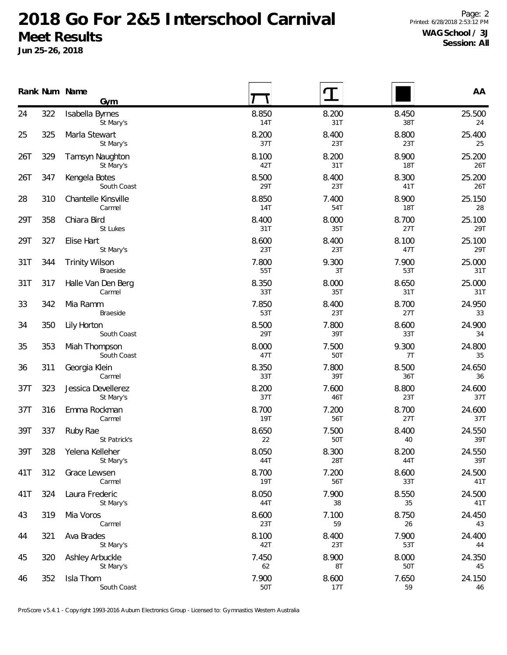**Jun 25-26, 2018**

|     |     | Rank Num Name<br>Gym                     |                     |              |                     | AA            |
|-----|-----|------------------------------------------|---------------------|--------------|---------------------|---------------|
| 24  | 322 | Isabella Byrnes<br>St Mary's             | 8.850<br>14T        | 8.200<br>31T | 8.450<br>38T        | 25.500<br>24  |
| 25  | 325 | Marla Stewart<br>St Mary's               | 8.200<br>37T        | 8.400<br>23T | 8.800<br>23T        | 25.400<br>25  |
| 26T | 329 | Tamsyn Naughton<br>St Mary's             | 8.100<br>42T        | 8.200<br>31T | 8.900<br><b>18T</b> | 25.200<br>26T |
| 26T | 347 | Kengela Botes<br>South Coast             | 8.500<br>29T        | 8.400<br>23T | 8.300<br>41T        | 25.200<br>26T |
| 28  | 310 | Chantelle Kinsville<br>Carmel            | 8.850<br>14T        | 7.400<br>54T | 8.900<br><b>18T</b> | 25.150<br>28  |
| 29T | 358 | Chiara Bird<br>St Lukes                  | 8.400<br>31T        | 8.000<br>35T | 8.700<br>27T        | 25.100<br>29T |
| 29T | 327 | Elise Hart<br>St Mary's                  | 8.600<br>23T        | 8.400<br>23T | 8.100<br>47T        | 25.100<br>29T |
| 31T | 344 | <b>Trinity Wilson</b><br><b>Braeside</b> | 7.800<br>55T        | 9.300<br>3T  | 7.900<br>53T        | 25.000<br>31T |
| 31T | 317 | Halle Van Den Berg<br>Carmel             | 8.350<br>33T        | 8.000<br>35T | 8.650<br>31T        | 25.000<br>31T |
| 33  | 342 | Mia Ramm<br>Braeside                     | 7.850<br>53T        | 8.400<br>23T | 8.700<br>27T        | 24.950<br>33  |
| 34  | 350 | Lily Horton<br>South Coast               | 8.500<br>29T        | 7.800<br>39T | 8.600<br>33T        | 24.900<br>34  |
| 35  | 353 | Miah Thompson<br>South Coast             | 8.000<br>47T        | 7.500<br>50T | 9.300<br>7T         | 24.800<br>35  |
| 36  | 311 | Georgia Klein<br>Carmel                  | 8.350<br>33T        | 7.800<br>39T | 8.500<br>36T        | 24.650<br>36  |
| 37T | 323 | Jessica Devellerez<br>St Mary's          | 8.200<br>37T        | 7.600<br>46T | 8.800<br>23T        | 24.600<br>37T |
| 37T | 316 | Emma Rockman<br>Carmel                   | 8.700<br><b>19T</b> | 7.200<br>56T | 8.700<br>27T        | 24.600<br>37T |
| 39T | 337 | Ruby Rae<br>St Patrick's                 | 8.650<br>22         | 7.500<br>50T | 8.400<br>40         | 24.550<br>39T |
| 39T | 328 | Yelena Kelleher<br>St Mary's             | 8.050<br>44T        | 8.300<br>28T | 8.200<br>44T        | 24.550<br>39T |
| 41T | 312 | Grace Lewsen<br>Carmel                   | 8.700<br><b>19T</b> | 7.200<br>56T | 8.600<br>33T        | 24.500<br>41T |
| 41T | 324 | Laura Frederic<br>St Mary's              | 8.050<br>44T        | 7.900<br>38  | 8.550<br>35         | 24.500<br>41T |
| 43  | 319 | Mia Voros<br>Carmel                      | 8.600<br>23T        | 7.100<br>59  | 8.750<br>26         | 24.450<br>43  |
| 44  | 321 | Ava Brades<br>St Mary's                  | 8.100<br>42T        | 8.400<br>23T | 7.900<br>53T        | 24.400<br>44  |
| 45  | 320 | Ashley Arbuckle<br>St Mary's             | 7.450<br>62         | 8.900<br>8T  | 8.000<br>50T        | 24.350<br>45  |
| 46  | 352 | Isla Thom<br>South Coast                 | 7.900<br>50T        | 8.600<br>17T | 7.650<br>59         | 24.150<br>46  |

ProScore v5.4.1 - Copyright 1993-2016 Auburn Electronics Group - Licensed to: Gymnastics Western Australia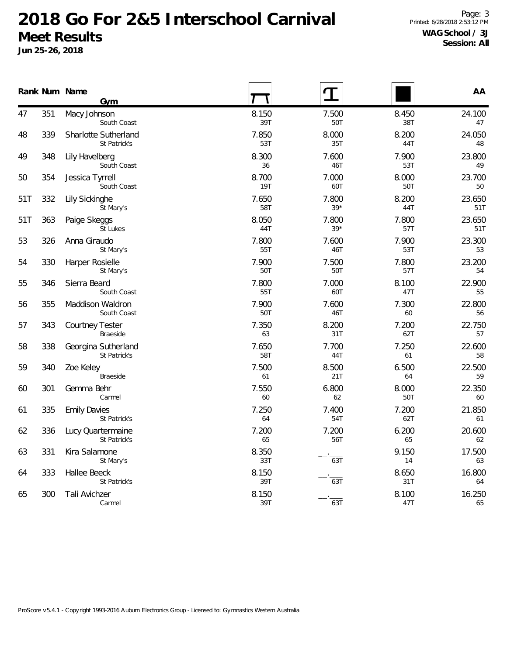|     |     | Rank Num Name<br>Gym                 |              |                |              | AA            |
|-----|-----|--------------------------------------|--------------|----------------|--------------|---------------|
| 47  | 351 | Macy Johnson<br>South Coast          | 8.150<br>39T | 7.500<br>50T   | 8.450<br>38T | 24.100<br>47  |
| 48  | 339 | Sharlotte Sutherland<br>St Patrick's | 7.850<br>53T | 8.000<br>35T   | 8.200<br>44T | 24.050<br>48  |
| 49  | 348 | Lily Havelberg<br>South Coast        | 8.300<br>36  | 7.600<br>46T   | 7.900<br>53T | 23.800<br>49  |
| 50  | 354 | Jessica Tyrrell<br>South Coast       | 8.700<br>19T | 7.000<br>60T   | 8.000<br>50T | 23.700<br>50  |
| 51T | 332 | Lily Sickinghe<br>St Mary's          | 7.650<br>58T | 7.800<br>$39*$ | 8.200<br>44T | 23.650<br>51T |
| 51T | 363 | Paige Skeggs<br>St Lukes             | 8.050<br>44T | 7.800<br>$39*$ | 7.800<br>57T | 23.650<br>51T |
| 53  | 326 | Anna Giraudo<br>St Mary's            | 7.800<br>55T | 7.600<br>46T   | 7.900<br>53T | 23.300<br>53  |
| 54  | 330 | Harper Rosielle<br>St Mary's         | 7.900<br>50T | 7.500<br>50T   | 7.800<br>57T | 23.200<br>54  |
| 55  | 346 | Sierra Beard<br>South Coast          | 7.800<br>55T | 7.000<br>60T   | 8.100<br>47T | 22.900<br>55  |
| 56  | 355 | Maddison Waldron<br>South Coast      | 7.900<br>50T | 7.600<br>46T   | 7.300<br>60  | 22.800<br>56  |
| 57  | 343 | <b>Courtney Tester</b><br>Braeside   | 7.350<br>63  | 8.200<br>31T   | 7.200<br>62T | 22.750<br>57  |
| 58  | 338 | Georgina Sutherland<br>St Patrick's  | 7.650<br>58T | 7.700<br>44T   | 7.250<br>61  | 22.600<br>58  |
| 59  | 340 | Zoe Keley<br>Braeside                | 7.500<br>61  | 8.500<br>21T   | 6.500<br>64  | 22.500<br>59  |
| 60  | 301 | Gemma Behr<br>Carmel                 | 7.550<br>60  | 6.800<br>62    | 8.000<br>50T | 22.350<br>60  |
| 61  | 335 | <b>Emily Davies</b><br>St Patrick's  | 7.250<br>64  | 7.400<br>54T   | 7.200<br>62T | 21.850<br>61  |
| 62  | 336 | Lucy Quartermaine<br>St Patrick's    | 7.200<br>65  | 7.200<br>56T   | 6.200<br>65  | 20.600<br>62  |
| 63  | 331 | Kira Salamone<br>St Mary's           | 8.350<br>33T | 63T            | 9.150<br>14  | 17.500<br>63  |
| 64  | 333 | Hallee Beeck<br>St Patrick's         | 8.150<br>39T | 63T            | 8.650<br>31T | 16.800<br>64  |
| 65  | 300 | Tali Avichzer<br>Carmel              | 8.150<br>39T | 63T            | 8.100<br>47T | 16.250<br>65  |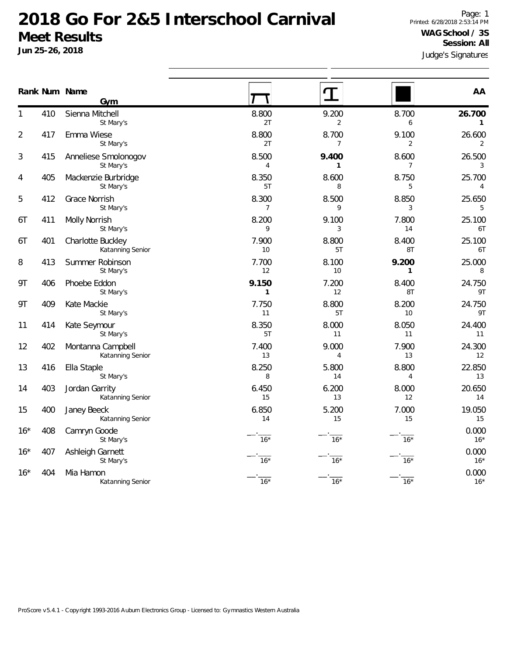|       |     | Rank Num Name<br>Gym                  |                         |                         |                         | AA                       |
|-------|-----|---------------------------------------|-------------------------|-------------------------|-------------------------|--------------------------|
| 1     | 410 | Sienna Mitchell<br>St Mary's          | 8.800<br>2T             | 9.200<br>2              | 8.700<br>6              | 26.700<br>$\mathbf{1}$   |
| 2     | 417 | Emma Wiese<br>St Mary's               | 8.800<br>2T             | 8.700<br>$\overline{7}$ | 9.100<br>$\overline{2}$ | 26.600<br>$\overline{2}$ |
| 3     | 415 | Anneliese Smolonogov<br>St Mary's     | 8.500<br>4              | 9.400<br>1              | 8.600<br>$\overline{7}$ | 26.500<br>3              |
| 4     | 405 | Mackenzie Burbridge<br>St Mary's      | 8.350<br>5T             | 8.600<br>8              | 8.750<br>5              | 25.700<br>4              |
| 5     | 412 | Grace Norrish<br>St Mary's            | 8.300<br>$\overline{7}$ | 8.500<br>9              | 8.850<br>3              | 25.650<br>5              |
| 6T    | 411 | Molly Norrish<br>St Mary's            | 8.200<br>9              | 9.100<br>3              | 7.800<br>14             | 25.100<br>6T             |
| 6Т    | 401 | Charlotte Buckley<br>Katanning Senior | 7.900<br>10             | 8.800<br>5T             | 8.400<br>8T             | 25.100<br>6T             |
| 8     | 413 | Summer Robinson<br>St Mary's          | 7.700<br>12             | 8.100<br>10             | 9.200<br>$\mathbf{1}$   | 25.000<br>8              |
| 9T    | 406 | Phoebe Eddon<br>St Mary's             | 9.150<br>$\mathbf{1}$   | 7.200<br>12             | 8.400<br>8T             | 24.750<br>9T             |
| 9Τ    | 409 | Kate Mackie<br>St Mary's              | 7.750<br>11             | 8.800<br>5T             | 8.200<br>10             | 24.750<br>9T             |
| 11    | 414 | Kate Seymour<br>St Mary's             | 8.350<br>5T             | 8.000<br>11             | 8.050<br>11             | 24.400<br>11             |
| 12    | 402 | Montanna Campbell<br>Katanning Senior | 7.400<br>13             | 9.000<br>4              | 7.900<br>13             | 24.300<br>12             |
| 13    | 416 | Ella Staple<br>St Mary's              | 8.250<br>8              | 5.800<br>14             | 8.800<br>4              | 22.850<br>13             |
| 14    | 403 | Jordan Garrity<br>Katanning Senior    | 6.450<br>15             | 6.200<br>13             | 8.000<br>12             | 20.650<br>14             |
| 15    | 400 | Janey Beeck<br>Katanning Senior       | 6.850<br>14             | 5.200<br>15             | 7.000<br>15             | 19.050<br>15             |
| $16*$ | 408 | Camryn Goode<br>St Mary's             | $16*$                   | $16*$                   | $16*$                   | 0.000<br>$16*$           |
| $16*$ | 407 | Ashleigh Garnett<br>St Mary's         | $16*$                   | $16*$                   | $16*$                   | 0.000<br>$16*$           |
| $16*$ | 404 | Mia Hamon<br>Katanning Senior         | $16*$                   | $16*$                   | $16*$                   | 0.000<br>$16*$           |